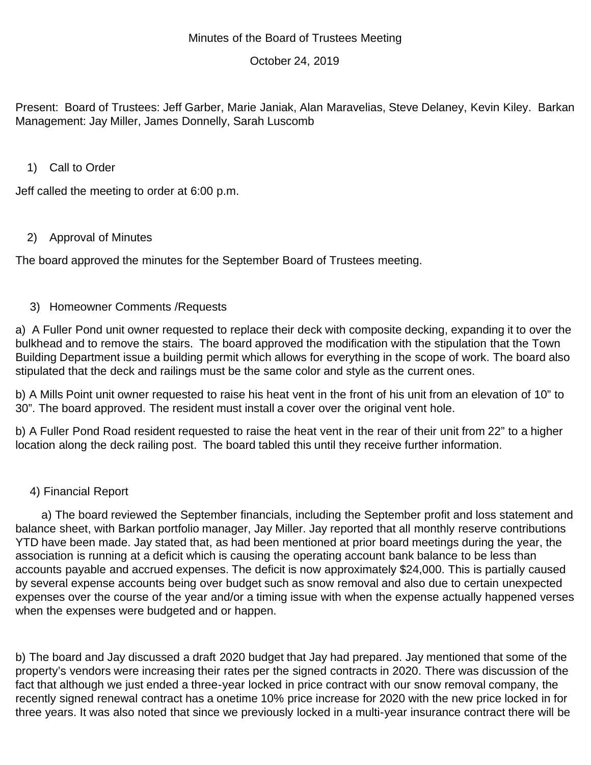## October 24, 2019

Present: Board of Trustees: Jeff Garber, Marie Janiak, Alan Maravelias, Steve Delaney, Kevin Kiley. Barkan Management: Jay Miller, James Donnelly, Sarah Luscomb

### 1) Call to Order

Jeff called the meeting to order at 6:00 p.m.

# 2) Approval of Minutes

The board approved the minutes for the September Board of Trustees meeting.

## 3) Homeowner Comments /Requests

a) A Fuller Pond unit owner requested to replace their deck with composite decking, expanding it to over the bulkhead and to remove the stairs. The board approved the modification with the stipulation that the Town Building Department issue a building permit which allows for everything in the scope of work. The board also stipulated that the deck and railings must be the same color and style as the current ones.

b) A Mills Point unit owner requested to raise his heat vent in the front of his unit from an elevation of 10" to 30". The board approved. The resident must install a cover over the original vent hole.

b) A Fuller Pond Road resident requested to raise the heat vent in the rear of their unit from 22" to a higher location along the deck railing post. The board tabled this until they receive further information.

## 4) Financial Report

 a) The board reviewed the September financials, including the September profit and loss statement and balance sheet, with Barkan portfolio manager, Jay Miller. Jay reported that all monthly reserve contributions YTD have been made. Jay stated that, as had been mentioned at prior board meetings during the year, the association is running at a deficit which is causing the operating account bank balance to be less than accounts payable and accrued expenses. The deficit is now approximately \$24,000. This is partially caused by several expense accounts being over budget such as snow removal and also due to certain unexpected expenses over the course of the year and/or a timing issue with when the expense actually happened verses when the expenses were budgeted and or happen.

b) The board and Jay discussed a draft 2020 budget that Jay had prepared. Jay mentioned that some of the property's vendors were increasing their rates per the signed contracts in 2020. There was discussion of the fact that although we just ended a three-year locked in price contract with our snow removal company, the recently signed renewal contract has a onetime 10% price increase for 2020 with the new price locked in for three years. It was also noted that since we previously locked in a multi-year insurance contract there will be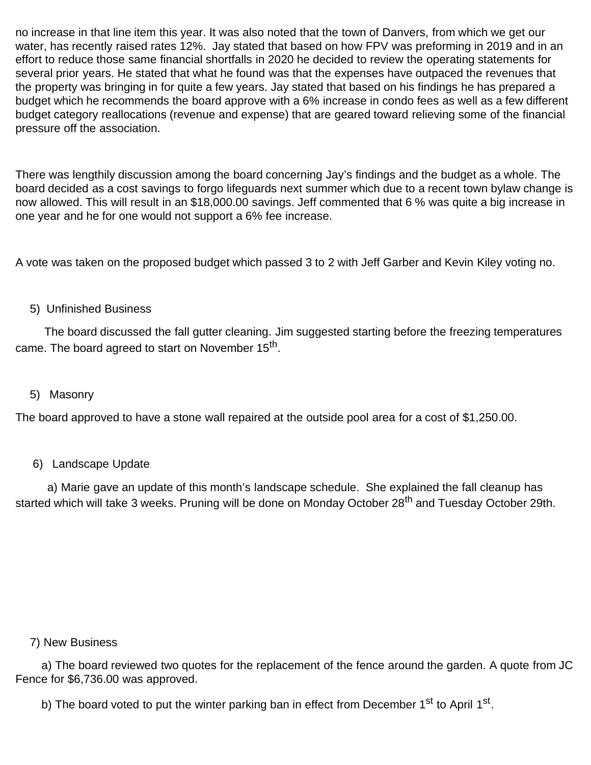no increase in that line item this year. It was also noted that the town of Danvers, from which we get our water, has recently raised rates 12%. Jay stated that based on how FPV was preforming in 2019 and in an effort to reduce those same financial shortfalls in 2020 he decided to review the operating statements for several prior years. He stated that what he found was that the expenses have outpaced the revenues that the property was bringing in for quite a few years. Jay stated that based on his findings he has prepared a budget which he recommends the board approve with a 6% increase in condo fees as well as a few different budget category reallocations (revenue and expense) that are geared toward relieving some of the financial pressure off the association.

There was lengthily discussion among the board concerning Jay's findings and the budget as a whole. The board decided as a cost savings to forgo lifeguards next summer which due to a recent town bylaw change is now allowed. This will result in an \$18,000.00 savings. Jeff commented that 6 % was quite a big increase in one year and he for one would not support a 6% fee increase.

A vote was taken on the proposed budget which passed 3 to 2 with Jeff Garber and Kevin Kiley voting no.

#### 5) Unfinished Business

 The board discussed the fall gutter cleaning. Jim suggested starting before the freezing temperatures came. The board agreed to start on November 15<sup>th</sup>.

#### 5) Masonry

The board approved to have a stone wall repaired at the outside pool area for a cost of \$1,250.00.

#### 6) Landscape Update

 a) Marie gave an update of this month's landscape schedule. She explained the fall cleanup has started which will take 3 weeks. Pruning will be done on Monday October 28<sup>th</sup> and Tuesday October 29th.

#### 7) New Business

 a) The board reviewed two quotes for the replacement of the fence around the garden. A quote from JC Fence for \$6,736.00 was approved.

b) The board voted to put the winter parking ban in effect from December 1<sup>st</sup> to April 1<sup>st</sup>.